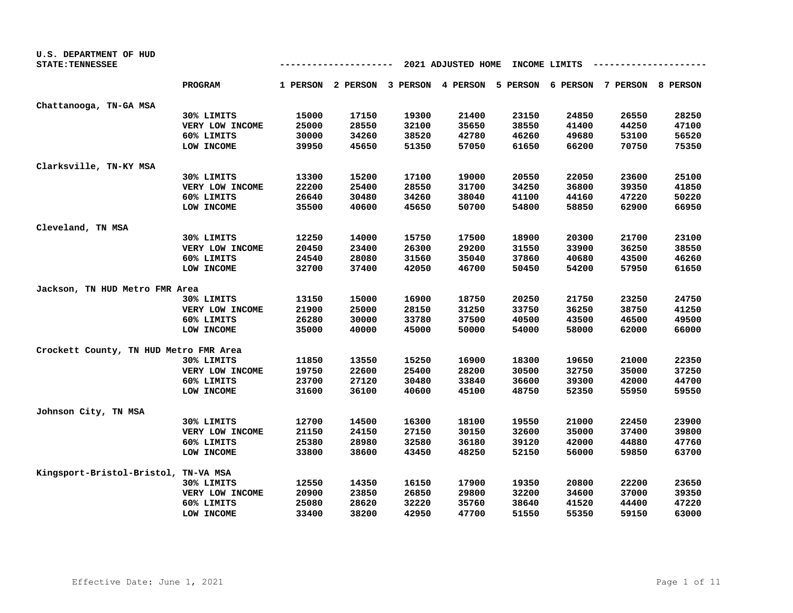| U.S. DEPARTMENT OF HUD<br><b>STATE: TENNESSEE</b> |                 |       |                                     |       | 2021 ADJUSTED HOME |       | INCOME LIMITS |                                     |       |
|---------------------------------------------------|-----------------|-------|-------------------------------------|-------|--------------------|-------|---------------|-------------------------------------|-------|
|                                                   | <b>PROGRAM</b>  |       | 1 PERSON 2 PERSON 3 PERSON 4 PERSON |       |                    |       |               | 5 PERSON 6 PERSON 7 PERSON 8 PERSON |       |
| Chattanooga, TN-GA MSA                            |                 |       |                                     |       |                    |       |               |                                     |       |
|                                                   | 30% LIMITS      | 15000 | 17150                               | 19300 | 21400              | 23150 | 24850         | 26550                               | 28250 |
|                                                   | VERY LOW INCOME | 25000 | 28550                               | 32100 | 35650              | 38550 | 41400         | 44250                               | 47100 |
|                                                   | 60% LIMITS      | 30000 | 34260                               | 38520 | 42780              | 46260 | 49680         | 53100                               | 56520 |
|                                                   | LOW INCOME      | 39950 | 45650                               | 51350 | 57050              | 61650 | 66200         | 70750                               | 75350 |
| Clarksville, TN-KY MSA                            |                 |       |                                     |       |                    |       |               |                                     |       |
|                                                   | 30% LIMITS      | 13300 | 15200                               | 17100 | 19000              | 20550 | 22050         | 23600                               | 25100 |
|                                                   | VERY LOW INCOME | 22200 | 25400                               | 28550 | 31700              | 34250 | 36800         | 39350                               | 41850 |
|                                                   | 60% LIMITS      | 26640 | 30480                               | 34260 | 38040              | 41100 | 44160         | 47220                               | 50220 |
|                                                   | LOW INCOME      | 35500 | 40600                               | 45650 | 50700              | 54800 | 58850         | 62900                               | 66950 |
| Cleveland, TN MSA                                 |                 |       |                                     |       |                    |       |               |                                     |       |
|                                                   | 30% LIMITS      | 12250 | 14000                               | 15750 | 17500              | 18900 | 20300         | 21700                               | 23100 |
|                                                   | VERY LOW INCOME | 20450 | 23400                               | 26300 | 29200              | 31550 | 33900         | 36250                               | 38550 |
|                                                   | 60% LIMITS      | 24540 | 28080                               | 31560 | 35040              | 37860 | 40680         | 43500                               | 46260 |
|                                                   | LOW INCOME      | 32700 | 37400                               | 42050 | 46700              | 50450 | 54200         | 57950                               | 61650 |
| Jackson, TN HUD Metro FMR Area                    |                 |       |                                     |       |                    |       |               |                                     |       |
|                                                   | 30% LIMITS      | 13150 | 15000                               | 16900 | 18750              | 20250 | 21750         | 23250                               | 24750 |
|                                                   | VERY LOW INCOME | 21900 | 25000                               | 28150 | 31250              | 33750 | 36250         | 38750                               | 41250 |
|                                                   | 60% LIMITS      | 26280 | 30000                               | 33780 | 37500              | 40500 | 43500         | 46500                               | 49500 |
|                                                   | LOW INCOME      | 35000 | 40000                               | 45000 | 50000              | 54000 | 58000         | 62000                               | 66000 |
| Crockett County, TN HUD Metro FMR Area            |                 |       |                                     |       |                    |       |               |                                     |       |
|                                                   | 30% LIMITS      | 11850 | 13550                               | 15250 | 16900              | 18300 | 19650         | 21000                               | 22350 |
|                                                   | VERY LOW INCOME | 19750 | 22600                               | 25400 | 28200              | 30500 | 32750         | 35000                               | 37250 |
|                                                   | 60% LIMITS      | 23700 | 27120                               | 30480 | 33840              | 36600 | 39300         | 42000                               | 44700 |
|                                                   | LOW INCOME      | 31600 | 36100                               | 40600 | 45100              | 48750 | 52350         | 55950                               | 59550 |
| Johnson City, TN MSA                              |                 |       |                                     |       |                    |       |               |                                     |       |
|                                                   | 30% LIMITS      | 12700 | 14500                               | 16300 | 18100              | 19550 | 21000         | 22450                               | 23900 |
|                                                   | VERY LOW INCOME | 21150 | 24150                               | 27150 | 30150              | 32600 | 35000         | 37400                               | 39800 |
|                                                   | 60% LIMITS      | 25380 | 28980                               | 32580 | 36180              | 39120 | 42000         | 44880                               | 47760 |
|                                                   | LOW INCOME      | 33800 | 38600                               | 43450 | 48250              | 52150 | 56000         | 59850                               | 63700 |
| Kingsport-Bristol-Bristol, TN-VA MSA              |                 |       |                                     |       |                    |       |               |                                     |       |
|                                                   | 30% LIMITS      | 12550 | 14350                               | 16150 | 17900              | 19350 | 20800         | 22200                               | 23650 |
|                                                   | VERY LOW INCOME | 20900 | 23850                               | 26850 | 29800              | 32200 | 34600         | 37000                               | 39350 |
|                                                   | 60% LIMITS      | 25080 | 28620                               | 32220 | 35760              | 38640 | 41520         | 44400                               | 47220 |
|                                                   | LOW INCOME      | 33400 | 38200                               | 42950 | 47700              | 51550 | 55350         | 59150                               | 63000 |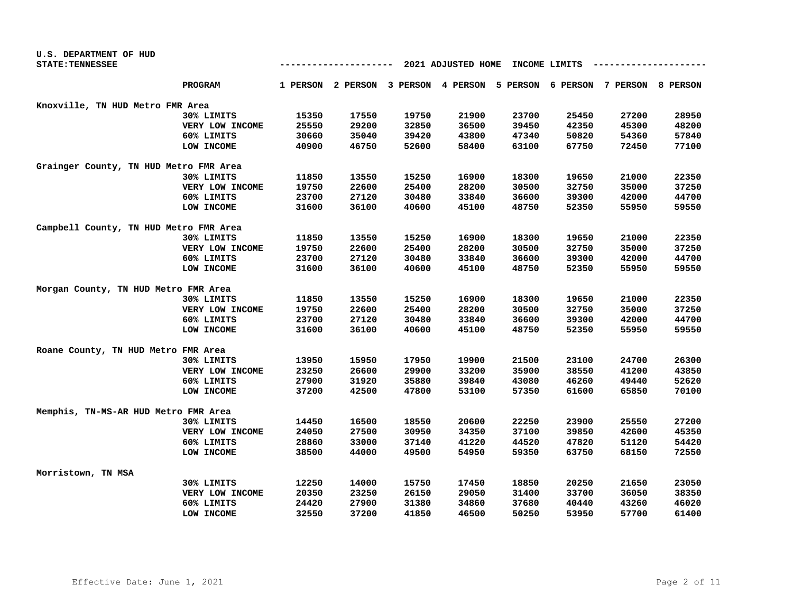| U.S. DEPARTMENT OF HUD                 |                 |                                     |       |       |       |       |       |                                                                         |       |
|----------------------------------------|-----------------|-------------------------------------|-------|-------|-------|-------|-------|-------------------------------------------------------------------------|-------|
| <b>STATE: TENNESSEE</b>                |                 | 2021 ADJUSTED HOME<br>INCOME LIMITS |       |       |       |       |       |                                                                         |       |
|                                        | <b>PROGRAM</b>  |                                     |       |       |       |       |       | 1 PERSON 2 PERSON 3 PERSON 4 PERSON 5 PERSON 6 PERSON 7 PERSON 8 PERSON |       |
| Knoxville, TN HUD Metro FMR Area       |                 |                                     |       |       |       |       |       |                                                                         |       |
|                                        | 30% LIMITS      | 15350                               | 17550 | 19750 | 21900 | 23700 | 25450 | 27200                                                                   | 28950 |
|                                        | VERY LOW INCOME | 25550                               | 29200 | 32850 | 36500 | 39450 | 42350 | 45300                                                                   | 48200 |
|                                        | 60% LIMITS      | 30660                               | 35040 | 39420 | 43800 | 47340 | 50820 | 54360                                                                   | 57840 |
|                                        | LOW INCOME      | 40900                               | 46750 | 52600 | 58400 | 63100 | 67750 | 72450                                                                   | 77100 |
| Grainger County, TN HUD Metro FMR Area |                 |                                     |       |       |       |       |       |                                                                         |       |
|                                        | 30% LIMITS      | 11850                               | 13550 | 15250 | 16900 | 18300 | 19650 | 21000                                                                   | 22350 |
|                                        | VERY LOW INCOME | 19750                               | 22600 | 25400 | 28200 | 30500 | 32750 | 35000                                                                   | 37250 |
|                                        | 60% LIMITS      | 23700                               | 27120 | 30480 | 33840 | 36600 | 39300 | 42000                                                                   | 44700 |
|                                        | LOW INCOME      | 31600                               | 36100 | 40600 | 45100 | 48750 | 52350 | 55950                                                                   | 59550 |
| Campbell County, TN HUD Metro FMR Area |                 |                                     |       |       |       |       |       |                                                                         |       |
|                                        | 30% LIMITS      | 11850                               | 13550 | 15250 | 16900 | 18300 | 19650 | 21000                                                                   | 22350 |
|                                        | VERY LOW INCOME | 19750                               | 22600 | 25400 | 28200 | 30500 | 32750 | 35000                                                                   | 37250 |
|                                        | 60% LIMITS      | 23700                               | 27120 | 30480 | 33840 | 36600 | 39300 | 42000                                                                   | 44700 |
|                                        | LOW INCOME      | 31600                               | 36100 | 40600 | 45100 | 48750 | 52350 | 55950                                                                   | 59550 |
| Morgan County, TN HUD Metro FMR Area   |                 |                                     |       |       |       |       |       |                                                                         |       |
|                                        | 30% LIMITS      | 11850                               | 13550 | 15250 | 16900 | 18300 | 19650 | 21000                                                                   | 22350 |
|                                        | VERY LOW INCOME | 19750                               | 22600 | 25400 | 28200 | 30500 | 32750 | 35000                                                                   | 37250 |
|                                        | 60% LIMITS      | 23700                               | 27120 | 30480 | 33840 | 36600 | 39300 | 42000                                                                   | 44700 |
|                                        | LOW INCOME      | 31600                               | 36100 | 40600 | 45100 | 48750 | 52350 | 55950                                                                   | 59550 |
| Roane County, TN HUD Metro FMR Area    |                 |                                     |       |       |       |       |       |                                                                         |       |
|                                        | 30% LIMITS      | 13950                               | 15950 | 17950 | 19900 | 21500 | 23100 | 24700                                                                   | 26300 |
|                                        | VERY LOW INCOME | 23250                               | 26600 | 29900 | 33200 | 35900 | 38550 | 41200                                                                   | 43850 |
|                                        | 60% LIMITS      | 27900                               | 31920 | 35880 | 39840 | 43080 | 46260 | 49440                                                                   | 52620 |
|                                        | LOW INCOME      | 37200                               | 42500 | 47800 | 53100 | 57350 | 61600 | 65850                                                                   | 70100 |
| Memphis, TN-MS-AR HUD Metro FMR Area   |                 |                                     |       |       |       |       |       |                                                                         |       |
|                                        | 30% LIMITS      | 14450                               | 16500 | 18550 | 20600 | 22250 | 23900 | 25550                                                                   | 27200 |
|                                        | VERY LOW INCOME | 24050                               | 27500 | 30950 | 34350 | 37100 | 39850 | 42600                                                                   | 45350 |
|                                        | 60% LIMITS      | 28860                               | 33000 | 37140 | 41220 | 44520 | 47820 | 51120                                                                   | 54420 |
|                                        | LOW INCOME      | 38500                               | 44000 | 49500 | 54950 | 59350 | 63750 | 68150                                                                   | 72550 |
| Morristown, TN MSA                     |                 |                                     |       |       |       |       |       |                                                                         |       |
|                                        | 30% LIMITS      | 12250                               | 14000 | 15750 | 17450 | 18850 | 20250 | 21650                                                                   | 23050 |
|                                        | VERY LOW INCOME | 20350                               | 23250 | 26150 | 29050 | 31400 | 33700 | 36050                                                                   | 38350 |
|                                        | 60% LIMITS      | 24420                               | 27900 | 31380 | 34860 | 37680 | 40440 | 43260                                                                   | 46020 |
|                                        | LOW INCOME      | 32550                               | 37200 | 41850 | 46500 | 50250 | 53950 | 57700                                                                   | 61400 |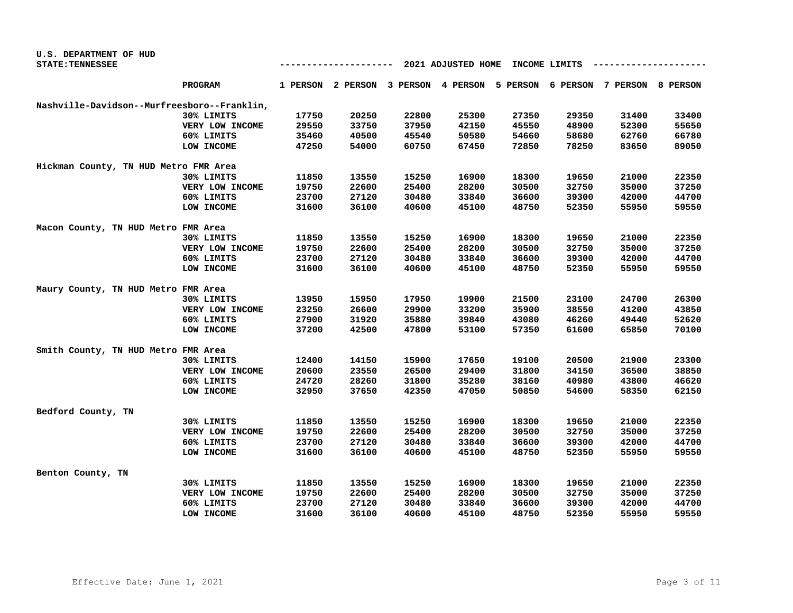| U.S. DEPARTMENT OF HUD                      |                 |       |        |       |                                                                         |       |               |       |       |
|---------------------------------------------|-----------------|-------|--------|-------|-------------------------------------------------------------------------|-------|---------------|-------|-------|
| <b>STATE: TENNESSEE</b>                     |                 |       | ------ |       | 2021 ADJUSTED HOME                                                      |       | INCOME LIMITS |       |       |
|                                             | <b>PROGRAM</b>  |       |        |       | 1 PERSON 2 PERSON 3 PERSON 4 PERSON 5 PERSON 6 PERSON 7 PERSON 8 PERSON |       |               |       |       |
| Nashville-Davidson--Murfreesboro--Franklin, |                 |       |        |       |                                                                         |       |               |       |       |
|                                             | 30% LIMITS      | 17750 | 20250  | 22800 | 25300                                                                   | 27350 | 29350         | 31400 | 33400 |
|                                             | VERY LOW INCOME | 29550 | 33750  | 37950 | 42150                                                                   | 45550 | 48900         | 52300 | 55650 |
|                                             | 60% LIMITS      | 35460 | 40500  | 45540 | 50580                                                                   | 54660 | 58680         | 62760 | 66780 |
|                                             | LOW INCOME      | 47250 | 54000  | 60750 | 67450                                                                   | 72850 | 78250         | 83650 | 89050 |
| Hickman County, TN HUD Metro FMR Area       |                 |       |        |       |                                                                         |       |               |       |       |
|                                             | 30% LIMITS      | 11850 | 13550  | 15250 | 16900                                                                   | 18300 | 19650         | 21000 | 22350 |
|                                             | VERY LOW INCOME | 19750 | 22600  | 25400 | 28200                                                                   | 30500 | 32750         | 35000 | 37250 |
|                                             | 60% LIMITS      | 23700 | 27120  | 30480 | 33840                                                                   | 36600 | 39300         | 42000 | 44700 |
|                                             | LOW INCOME      | 31600 | 36100  | 40600 | 45100                                                                   | 48750 | 52350         | 55950 | 59550 |
| Macon County, TN HUD Metro FMR Area         |                 |       |        |       |                                                                         |       |               |       |       |
|                                             | 30% LIMITS      | 11850 | 13550  | 15250 | 16900                                                                   | 18300 | 19650         | 21000 | 22350 |
|                                             | VERY LOW INCOME | 19750 | 22600  | 25400 | 28200                                                                   | 30500 | 32750         | 35000 | 37250 |
|                                             | 60% LIMITS      | 23700 | 27120  | 30480 | 33840                                                                   | 36600 | 39300         | 42000 | 44700 |
|                                             | LOW INCOME      | 31600 | 36100  | 40600 | 45100                                                                   | 48750 | 52350         | 55950 | 59550 |
| Maury County, TN HUD Metro FMR Area         |                 |       |        |       |                                                                         |       |               |       |       |
|                                             | 30% LIMITS      | 13950 | 15950  | 17950 | 19900                                                                   | 21500 | 23100         | 24700 | 26300 |
|                                             | VERY LOW INCOME | 23250 | 26600  | 29900 | 33200                                                                   | 35900 | 38550         | 41200 | 43850 |
|                                             | 60% LIMITS      | 27900 | 31920  | 35880 | 39840                                                                   | 43080 | 46260         | 49440 | 52620 |
|                                             | LOW INCOME      | 37200 | 42500  | 47800 | 53100                                                                   | 57350 | 61600         | 65850 | 70100 |
| Smith County, TN HUD Metro FMR Area         |                 |       |        |       |                                                                         |       |               |       |       |
|                                             | 30% LIMITS      | 12400 | 14150  | 15900 | 17650                                                                   | 19100 | 20500         | 21900 | 23300 |
|                                             | VERY LOW INCOME | 20600 | 23550  | 26500 | 29400                                                                   | 31800 | 34150         | 36500 | 38850 |
|                                             | 60% LIMITS      | 24720 | 28260  | 31800 | 35280                                                                   | 38160 | 40980         | 43800 | 46620 |
|                                             | LOW INCOME      | 32950 | 37650  | 42350 | 47050                                                                   | 50850 | 54600         | 58350 | 62150 |
| Bedford County, TN                          |                 |       |        |       |                                                                         |       |               |       |       |
|                                             | 30% LIMITS      | 11850 | 13550  | 15250 | 16900                                                                   | 18300 | 19650         | 21000 | 22350 |
|                                             | VERY LOW INCOME | 19750 | 22600  | 25400 | 28200                                                                   | 30500 | 32750         | 35000 | 37250 |
|                                             | 60% LIMITS      | 23700 | 27120  | 30480 | 33840                                                                   | 36600 | 39300         | 42000 | 44700 |
|                                             | LOW INCOME      | 31600 | 36100  | 40600 | 45100                                                                   | 48750 | 52350         | 55950 | 59550 |
| Benton County, TN                           |                 |       |        |       |                                                                         |       |               |       |       |
|                                             | 30% LIMITS      | 11850 | 13550  | 15250 | 16900                                                                   | 18300 | 19650         | 21000 | 22350 |
|                                             | VERY LOW INCOME | 19750 | 22600  | 25400 | 28200                                                                   | 30500 | 32750         | 35000 | 37250 |
|                                             | 60% LIMITS      | 23700 | 27120  | 30480 | 33840                                                                   | 36600 | 39300         | 42000 | 44700 |
|                                             | LOW INCOME      | 31600 | 36100  | 40600 | 45100                                                                   | 48750 | 52350         | 55950 | 59550 |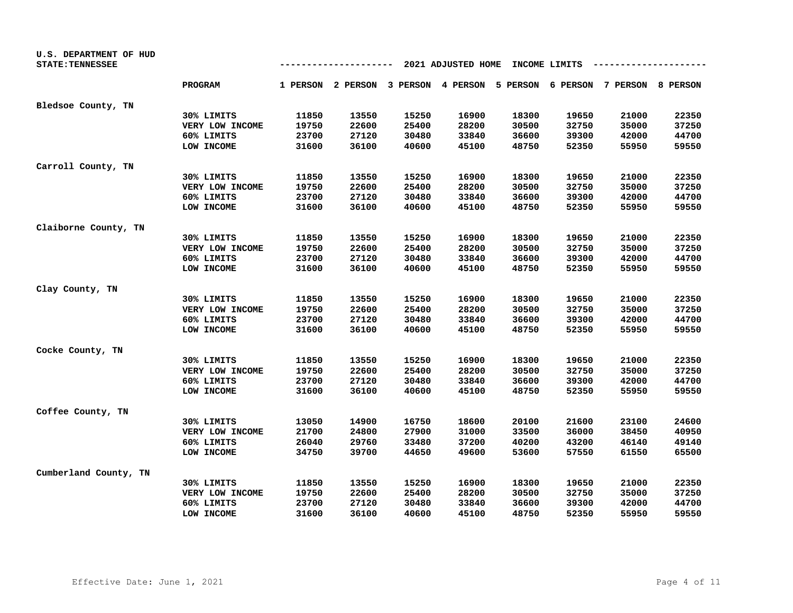| U.S. DEPARTMENT OF HUD<br><b>STATE: TENNESSEE</b> |                 |       |       | ---   | 2021 ADJUSTED HOME                                                      |       | INCOME LIMITS |       |       |
|---------------------------------------------------|-----------------|-------|-------|-------|-------------------------------------------------------------------------|-------|---------------|-------|-------|
|                                                   | <b>PROGRAM</b>  |       |       |       | 1 PERSON 2 PERSON 3 PERSON 4 PERSON 5 PERSON 6 PERSON 7 PERSON 8 PERSON |       |               |       |       |
| Bledsoe County, TN                                |                 |       |       |       |                                                                         |       |               |       |       |
|                                                   | 30% LIMITS      | 11850 | 13550 | 15250 | 16900                                                                   | 18300 | 19650         | 21000 | 22350 |
|                                                   | VERY LOW INCOME | 19750 | 22600 | 25400 | 28200                                                                   | 30500 | 32750         | 35000 | 37250 |
|                                                   | 60% LIMITS      | 23700 | 27120 | 30480 | 33840                                                                   | 36600 | 39300         | 42000 | 44700 |
|                                                   | LOW INCOME      | 31600 | 36100 | 40600 | 45100                                                                   | 48750 | 52350         | 55950 | 59550 |
| Carroll County, TN                                |                 |       |       |       |                                                                         |       |               |       |       |
|                                                   | 30% LIMITS      | 11850 | 13550 | 15250 | 16900                                                                   | 18300 | 19650         | 21000 | 22350 |
|                                                   | VERY LOW INCOME | 19750 | 22600 | 25400 | 28200                                                                   | 30500 | 32750         | 35000 | 37250 |
|                                                   | 60% LIMITS      | 23700 | 27120 | 30480 | 33840                                                                   | 36600 | 39300         | 42000 | 44700 |
|                                                   | LOW INCOME      | 31600 | 36100 | 40600 | 45100                                                                   | 48750 | 52350         | 55950 | 59550 |
| Claiborne County, TN                              |                 |       |       |       |                                                                         |       |               |       |       |
|                                                   | 30% LIMITS      | 11850 | 13550 | 15250 | 16900                                                                   | 18300 | 19650         | 21000 | 22350 |
|                                                   | VERY LOW INCOME | 19750 | 22600 | 25400 | 28200                                                                   | 30500 | 32750         | 35000 | 37250 |
|                                                   | 60% LIMITS      | 23700 | 27120 | 30480 | 33840                                                                   | 36600 | 39300         | 42000 | 44700 |
|                                                   | LOW INCOME      | 31600 | 36100 | 40600 | 45100                                                                   | 48750 | 52350         | 55950 | 59550 |
| Clay County, TN                                   |                 |       |       |       |                                                                         |       |               |       |       |
|                                                   | 30% LIMITS      | 11850 | 13550 | 15250 | 16900                                                                   | 18300 | 19650         | 21000 | 22350 |
|                                                   | VERY LOW INCOME | 19750 | 22600 | 25400 | 28200                                                                   | 30500 | 32750         | 35000 | 37250 |
|                                                   | 60% LIMITS      | 23700 | 27120 | 30480 | 33840                                                                   | 36600 | 39300         | 42000 | 44700 |
|                                                   | LOW INCOME      | 31600 | 36100 | 40600 | 45100                                                                   | 48750 | 52350         | 55950 | 59550 |
| Cocke County, TN                                  |                 |       |       |       |                                                                         |       |               |       |       |
|                                                   | 30% LIMITS      | 11850 | 13550 | 15250 | 16900                                                                   | 18300 | 19650         | 21000 | 22350 |
|                                                   | VERY LOW INCOME | 19750 | 22600 | 25400 | 28200                                                                   | 30500 | 32750         | 35000 | 37250 |
|                                                   | 60% LIMITS      | 23700 | 27120 | 30480 | 33840                                                                   | 36600 | 39300         | 42000 | 44700 |
|                                                   | LOW INCOME      | 31600 | 36100 | 40600 | 45100                                                                   | 48750 | 52350         | 55950 | 59550 |
| Coffee County, TN                                 |                 |       |       |       |                                                                         |       |               |       |       |
|                                                   | 30% LIMITS      | 13050 | 14900 | 16750 | 18600                                                                   | 20100 | 21600         | 23100 | 24600 |
|                                                   | VERY LOW INCOME | 21700 | 24800 | 27900 | 31000                                                                   | 33500 | 36000         | 38450 | 40950 |
|                                                   | 60% LIMITS      | 26040 | 29760 | 33480 | 37200                                                                   | 40200 | 43200         | 46140 | 49140 |
|                                                   | LOW INCOME      | 34750 | 39700 | 44650 | 49600                                                                   | 53600 | 57550         | 61550 | 65500 |
| Cumberland County, TN                             |                 |       |       |       |                                                                         |       |               |       |       |
|                                                   | 30% LIMITS      | 11850 | 13550 | 15250 | 16900                                                                   | 18300 | 19650         | 21000 | 22350 |
|                                                   | VERY LOW INCOME | 19750 | 22600 | 25400 | 28200                                                                   | 30500 | 32750         | 35000 | 37250 |
|                                                   | 60% LIMITS      | 23700 | 27120 | 30480 | 33840                                                                   | 36600 | 39300         | 42000 | 44700 |
|                                                   | LOW INCOME      | 31600 | 36100 | 40600 | 45100                                                                   | 48750 | 52350         | 55950 | 59550 |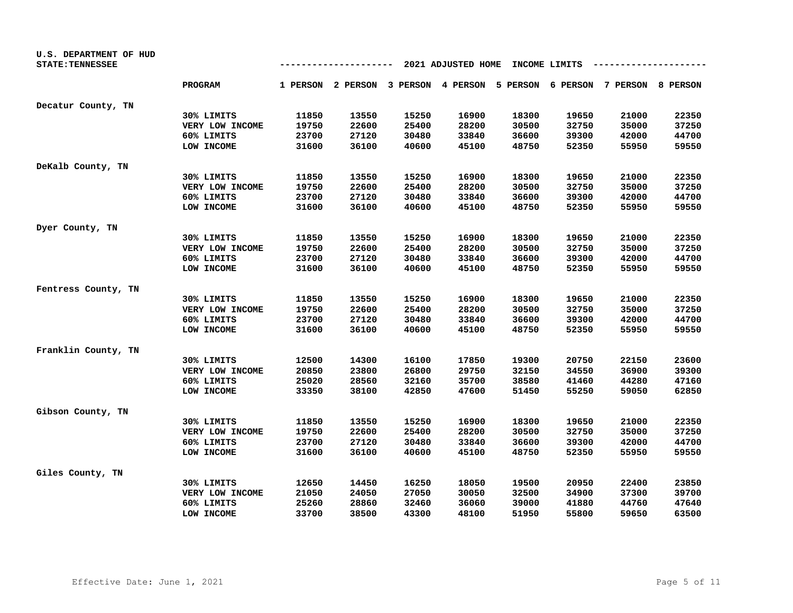| U.S. DEPARTMENT OF HUD  |                 |       |        |       |                    |       |               |                                                                         |       |
|-------------------------|-----------------|-------|--------|-------|--------------------|-------|---------------|-------------------------------------------------------------------------|-------|
| <b>STATE: TENNESSEE</b> |                 |       | ------ |       | 2021 ADJUSTED HOME |       | INCOME LIMITS |                                                                         |       |
|                         | <b>PROGRAM</b>  |       |        |       |                    |       |               | 1 PERSON 2 PERSON 3 PERSON 4 PERSON 5 PERSON 6 PERSON 7 PERSON 8 PERSON |       |
| Decatur County, TN      |                 |       |        |       |                    |       |               |                                                                         |       |
|                         | 30% LIMITS      | 11850 | 13550  | 15250 | 16900              | 18300 | 19650         | 21000                                                                   | 22350 |
|                         | VERY LOW INCOME | 19750 | 22600  | 25400 | 28200              | 30500 | 32750         | 35000                                                                   | 37250 |
|                         | 60% LIMITS      | 23700 | 27120  | 30480 | 33840              | 36600 | 39300         | 42000                                                                   | 44700 |
|                         | LOW INCOME      | 31600 | 36100  | 40600 | 45100              | 48750 | 52350         | 55950                                                                   | 59550 |
| DeKalb County, TN       |                 |       |        |       |                    |       |               |                                                                         |       |
|                         | 30% LIMITS      | 11850 | 13550  | 15250 | 16900              | 18300 | 19650         | 21000                                                                   | 22350 |
|                         | VERY LOW INCOME | 19750 | 22600  | 25400 | 28200              | 30500 | 32750         | 35000                                                                   | 37250 |
|                         | 60% LIMITS      | 23700 | 27120  | 30480 | 33840              | 36600 | 39300         | 42000                                                                   | 44700 |
|                         | LOW INCOME      | 31600 | 36100  | 40600 | 45100              | 48750 | 52350         | 55950                                                                   | 59550 |
| Dyer County, TN         |                 |       |        |       |                    |       |               |                                                                         |       |
|                         | 30% LIMITS      | 11850 | 13550  | 15250 | 16900              | 18300 | 19650         | 21000                                                                   | 22350 |
|                         | VERY LOW INCOME | 19750 | 22600  | 25400 | 28200              | 30500 | 32750         | 35000                                                                   | 37250 |
|                         | 60% LIMITS      | 23700 | 27120  | 30480 | 33840              | 36600 | 39300         | 42000                                                                   | 44700 |
|                         | LOW INCOME      | 31600 | 36100  | 40600 | 45100              | 48750 | 52350         | 55950                                                                   | 59550 |
| Fentress County, TN     |                 |       |        |       |                    |       |               |                                                                         |       |
|                         | 30% LIMITS      | 11850 | 13550  | 15250 | 16900              | 18300 | 19650         | 21000                                                                   | 22350 |
|                         | VERY LOW INCOME | 19750 | 22600  | 25400 | 28200              | 30500 | 32750         | 35000                                                                   | 37250 |
|                         | 60% LIMITS      | 23700 | 27120  | 30480 | 33840              | 36600 | 39300         | 42000                                                                   | 44700 |
|                         | LOW INCOME      | 31600 | 36100  | 40600 | 45100              | 48750 | 52350         | 55950                                                                   | 59550 |
| Franklin County, TN     |                 |       |        |       |                    |       |               |                                                                         |       |
|                         | 30% LIMITS      | 12500 | 14300  | 16100 | 17850              | 19300 | 20750         | 22150                                                                   | 23600 |
|                         | VERY LOW INCOME | 20850 | 23800  | 26800 | 29750              | 32150 | 34550         | 36900                                                                   | 39300 |
|                         | 60% LIMITS      | 25020 | 28560  | 32160 | 35700              | 38580 | 41460         | 44280                                                                   | 47160 |
|                         | LOW INCOME      | 33350 | 38100  | 42850 | 47600              | 51450 | 55250         | 59050                                                                   | 62850 |
| Gibson County, TN       |                 |       |        |       |                    |       |               |                                                                         |       |
|                         | 30% LIMITS      | 11850 | 13550  | 15250 | 16900              | 18300 | 19650         | 21000                                                                   | 22350 |
|                         | VERY LOW INCOME | 19750 | 22600  | 25400 | 28200              | 30500 | 32750         | 35000                                                                   | 37250 |
|                         | 60% LIMITS      | 23700 | 27120  | 30480 | 33840              | 36600 | 39300         | 42000                                                                   | 44700 |
|                         | LOW INCOME      | 31600 | 36100  | 40600 | 45100              | 48750 | 52350         | 55950                                                                   | 59550 |
| Giles County, TN        |                 |       |        |       |                    |       |               |                                                                         |       |
|                         | 30% LIMITS      | 12650 | 14450  | 16250 | 18050              | 19500 | 20950         | 22400                                                                   | 23850 |
|                         | VERY LOW INCOME | 21050 | 24050  | 27050 | 30050              | 32500 | 34900         | 37300                                                                   | 39700 |
|                         | 60% LIMITS      | 25260 | 28860  | 32460 | 36060              | 39000 | 41880         | 44760                                                                   | 47640 |
|                         | LOW INCOME      | 33700 | 38500  | 43300 | 48100              | 51950 | 55800         | 59650                                                                   | 63500 |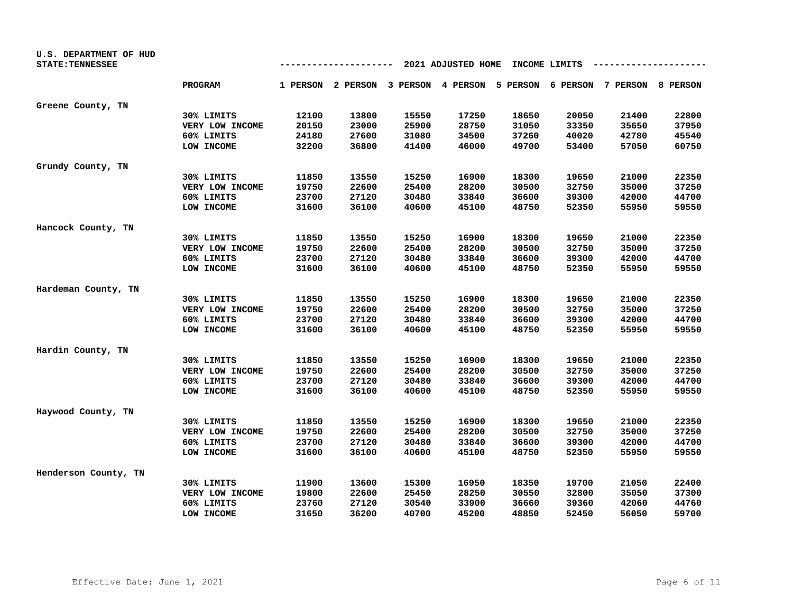| U.S. DEPARTMENT OF HUD<br><b>STATE: TENNESSEE</b> |                 |       |                                     |       | 2021 ADJUSTED HOME |       | INCOME LIMITS |                                     |       |
|---------------------------------------------------|-----------------|-------|-------------------------------------|-------|--------------------|-------|---------------|-------------------------------------|-------|
|                                                   | <b>PROGRAM</b>  |       | 1 PERSON 2 PERSON 3 PERSON 4 PERSON |       |                    |       |               | 5 PERSON 6 PERSON 7 PERSON 8 PERSON |       |
| Greene County, TN                                 |                 |       |                                     |       |                    |       |               |                                     |       |
|                                                   | 30% LIMITS      | 12100 | 13800                               | 15550 | 17250              | 18650 | 20050         | 21400                               | 22800 |
|                                                   | VERY LOW INCOME | 20150 | 23000                               | 25900 | 28750              | 31050 | 33350         | 35650                               | 37950 |
|                                                   | 60% LIMITS      | 24180 | 27600                               | 31080 | 34500              | 37260 | 40020         | 42780                               | 45540 |
|                                                   | LOW INCOME      | 32200 | 36800                               | 41400 | 46000              | 49700 | 53400         | 57050                               | 60750 |
| Grundy County, TN                                 |                 |       |                                     |       |                    |       |               |                                     |       |
|                                                   | 30% LIMITS      | 11850 | 13550                               | 15250 | 16900              | 18300 | 19650         | 21000                               | 22350 |
|                                                   | VERY LOW INCOME | 19750 | 22600                               | 25400 | 28200              | 30500 | 32750         | 35000                               | 37250 |
|                                                   | 60% LIMITS      | 23700 | 27120                               | 30480 | 33840              | 36600 | 39300         | 42000                               | 44700 |
|                                                   | LOW INCOME      | 31600 | 36100                               | 40600 | 45100              | 48750 | 52350         | 55950                               | 59550 |
| Hancock County, TN                                |                 |       |                                     |       |                    |       |               |                                     |       |
|                                                   | 30% LIMITS      | 11850 | 13550                               | 15250 | 16900              | 18300 | 19650         | 21000                               | 22350 |
|                                                   | VERY LOW INCOME | 19750 | 22600                               | 25400 | 28200              | 30500 | 32750         | 35000                               | 37250 |
|                                                   | 60% LIMITS      | 23700 | 27120                               | 30480 | 33840              | 36600 | 39300         | 42000                               | 44700 |
|                                                   | LOW INCOME      | 31600 | 36100                               | 40600 | 45100              | 48750 | 52350         | 55950                               | 59550 |
| Hardeman County, TN                               |                 |       |                                     |       |                    |       |               |                                     |       |
|                                                   | 30% LIMITS      | 11850 | 13550                               | 15250 | 16900              | 18300 | 19650         | 21000                               | 22350 |
|                                                   | VERY LOW INCOME | 19750 | 22600                               | 25400 | 28200              | 30500 | 32750         | 35000                               | 37250 |
|                                                   | 60% LIMITS      | 23700 | 27120                               | 30480 | 33840              | 36600 | 39300         | 42000                               | 44700 |
|                                                   | LOW INCOME      | 31600 | 36100                               | 40600 | 45100              | 48750 | 52350         | 55950                               | 59550 |
| Hardin County, TN                                 |                 |       |                                     |       |                    |       |               |                                     |       |
|                                                   | 30% LIMITS      | 11850 | 13550                               | 15250 | 16900              | 18300 | 19650         | 21000                               | 22350 |
|                                                   | VERY LOW INCOME | 19750 | 22600                               | 25400 | 28200              | 30500 | 32750         | 35000                               | 37250 |
|                                                   | 60% LIMITS      | 23700 | 27120                               | 30480 | 33840              | 36600 | 39300         | 42000                               | 44700 |
|                                                   | LOW INCOME      | 31600 | 36100                               | 40600 | 45100              | 48750 | 52350         | 55950                               | 59550 |
| Haywood County, TN                                |                 |       |                                     |       |                    |       |               |                                     |       |
|                                                   | 30% LIMITS      | 11850 | 13550                               | 15250 | 16900              | 18300 | 19650         | 21000                               | 22350 |
|                                                   | VERY LOW INCOME | 19750 | 22600                               | 25400 | 28200              | 30500 | 32750         | 35000                               | 37250 |
|                                                   | 60% LIMITS      | 23700 | 27120                               | 30480 | 33840              | 36600 | 39300         | 42000                               | 44700 |
|                                                   | LOW INCOME      | 31600 | 36100                               | 40600 | 45100              | 48750 | 52350         | 55950                               | 59550 |
| Henderson County, TN                              |                 |       |                                     |       |                    |       |               |                                     |       |
|                                                   | 30% LIMITS      | 11900 | 13600                               | 15300 | 16950              | 18350 | 19700         | 21050                               | 22400 |
|                                                   | VERY LOW INCOME | 19800 | 22600                               | 25450 | 28250              | 30550 | 32800         | 35050                               | 37300 |
|                                                   | 60% LIMITS      | 23760 | 27120                               | 30540 | 33900              | 36660 | 39360         | 42060                               | 44760 |
|                                                   | LOW INCOME      | 31650 | 36200                               | 40700 | 45200              | 48850 | 52450         | 56050                               | 59700 |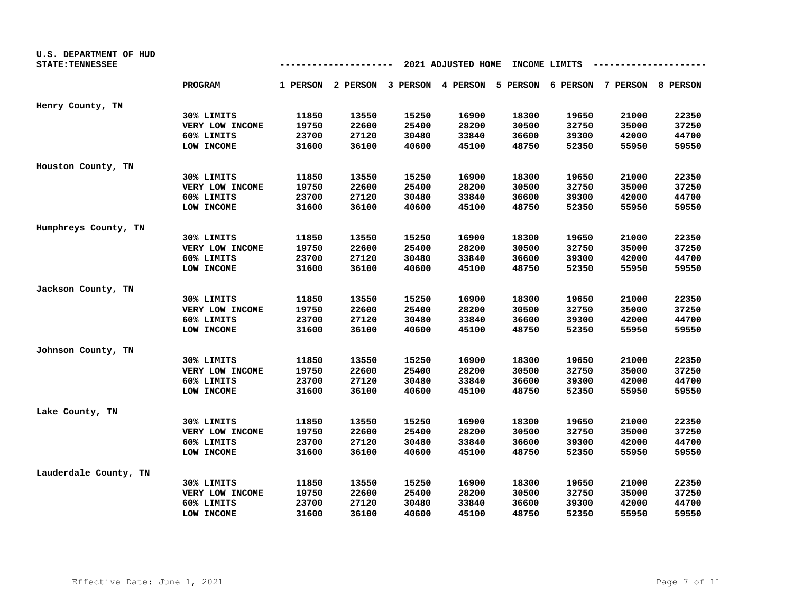| U.S. DEPARTMENT OF HUD<br><b>STATE: TENNESSEE</b> |                 |       | ------- |       | 2021 ADJUSTED HOME |       | INCOME LIMITS |                                                                         |       |
|---------------------------------------------------|-----------------|-------|---------|-------|--------------------|-------|---------------|-------------------------------------------------------------------------|-------|
|                                                   | <b>PROGRAM</b>  |       |         |       |                    |       |               | 1 PERSON 2 PERSON 3 PERSON 4 PERSON 5 PERSON 6 PERSON 7 PERSON 8 PERSON |       |
|                                                   |                 |       |         |       |                    |       |               |                                                                         |       |
| Henry County, TN                                  |                 |       |         |       |                    |       |               |                                                                         |       |
|                                                   | 30% LIMITS      | 11850 | 13550   | 15250 | 16900              | 18300 | 19650         | 21000                                                                   | 22350 |
|                                                   | VERY LOW INCOME | 19750 | 22600   | 25400 | 28200              | 30500 | 32750         | 35000                                                                   | 37250 |
|                                                   | 60% LIMITS      | 23700 | 27120   | 30480 | 33840              | 36600 | 39300         | 42000                                                                   | 44700 |
|                                                   | LOW INCOME      | 31600 | 36100   | 40600 | 45100              | 48750 | 52350         | 55950                                                                   | 59550 |
| Houston County, TN                                |                 |       |         |       |                    |       |               |                                                                         |       |
|                                                   | 30% LIMITS      | 11850 | 13550   | 15250 | 16900              | 18300 | 19650         | 21000                                                                   | 22350 |
|                                                   | VERY LOW INCOME | 19750 | 22600   | 25400 | 28200              | 30500 | 32750         | 35000                                                                   | 37250 |
|                                                   | 60% LIMITS      | 23700 | 27120   | 30480 | 33840              | 36600 | 39300         | 42000                                                                   | 44700 |
|                                                   | LOW INCOME      | 31600 | 36100   | 40600 | 45100              | 48750 | 52350         | 55950                                                                   | 59550 |
| Humphreys County, TN                              |                 |       |         |       |                    |       |               |                                                                         |       |
|                                                   | 30% LIMITS      | 11850 | 13550   | 15250 | 16900              | 18300 | 19650         | 21000                                                                   | 22350 |
|                                                   | VERY LOW INCOME | 19750 | 22600   | 25400 | 28200              | 30500 | 32750         | 35000                                                                   | 37250 |
|                                                   | 60% LIMITS      | 23700 | 27120   | 30480 | 33840              | 36600 | 39300         | 42000                                                                   | 44700 |
|                                                   | LOW INCOME      | 31600 | 36100   | 40600 | 45100              | 48750 | 52350         | 55950                                                                   | 59550 |
| Jackson County, TN                                |                 |       |         |       |                    |       |               |                                                                         |       |
|                                                   | 30% LIMITS      | 11850 | 13550   | 15250 | 16900              | 18300 | 19650         | 21000                                                                   | 22350 |
|                                                   | VERY LOW INCOME | 19750 | 22600   | 25400 | 28200              | 30500 | 32750         | 35000                                                                   | 37250 |
|                                                   | 60% LIMITS      | 23700 | 27120   | 30480 | 33840              | 36600 | 39300         | 42000                                                                   | 44700 |
|                                                   | LOW INCOME      | 31600 | 36100   | 40600 | 45100              | 48750 | 52350         | 55950                                                                   | 59550 |
| Johnson County, TN                                |                 |       |         |       |                    |       |               |                                                                         |       |
|                                                   | 30% LIMITS      | 11850 | 13550   | 15250 | 16900              | 18300 | 19650         | 21000                                                                   | 22350 |
|                                                   | VERY LOW INCOME | 19750 | 22600   | 25400 | 28200              | 30500 | 32750         | 35000                                                                   | 37250 |
|                                                   | 60% LIMITS      | 23700 | 27120   | 30480 | 33840              | 36600 | 39300         | 42000                                                                   | 44700 |
|                                                   | LOW INCOME      | 31600 | 36100   | 40600 | 45100              | 48750 | 52350         | 55950                                                                   | 59550 |
| Lake County, TN                                   |                 |       |         |       |                    |       |               |                                                                         |       |
|                                                   | 30% LIMITS      | 11850 | 13550   | 15250 | 16900              | 18300 | 19650         | 21000                                                                   | 22350 |
|                                                   | VERY LOW INCOME | 19750 | 22600   | 25400 | 28200              | 30500 | 32750         | 35000                                                                   | 37250 |
|                                                   | 60% LIMITS      | 23700 | 27120   | 30480 | 33840              | 36600 | 39300         | 42000                                                                   | 44700 |
|                                                   | LOW INCOME      | 31600 | 36100   | 40600 | 45100              | 48750 | 52350         | 55950                                                                   | 59550 |
| Lauderdale County, TN                             |                 |       |         |       |                    |       |               |                                                                         |       |
|                                                   | 30% LIMITS      | 11850 | 13550   | 15250 | 16900              | 18300 | 19650         | 21000                                                                   | 22350 |
|                                                   | VERY LOW INCOME | 19750 | 22600   | 25400 | 28200              | 30500 | 32750         | 35000                                                                   | 37250 |
|                                                   | 60% LIMITS      | 23700 | 27120   | 30480 | 33840              | 36600 | 39300         | 42000                                                                   | 44700 |
|                                                   | LOW INCOME      | 31600 | 36100   | 40600 | 45100              | 48750 | 52350         | 55950                                                                   | 59550 |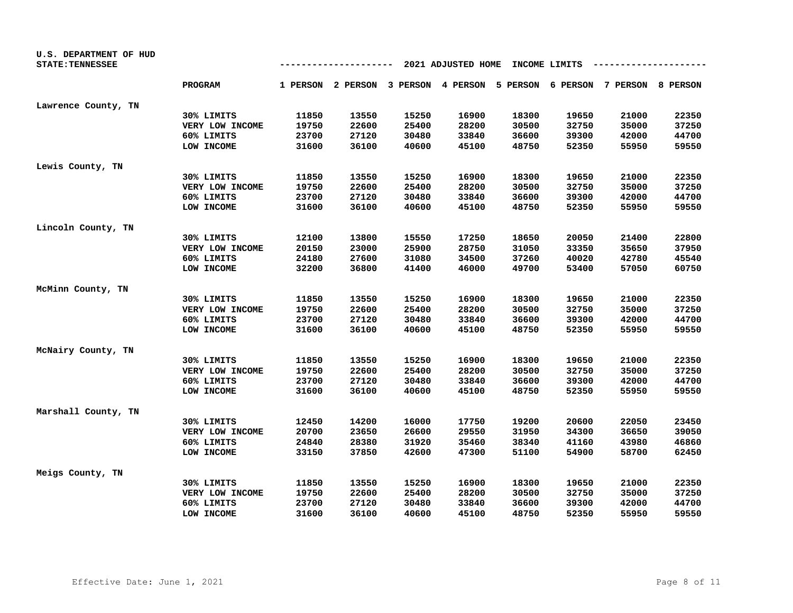| U.S. DEPARTMENT OF HUD  |                 |       |       |                                                                         |                    |       |               |       |       |
|-------------------------|-----------------|-------|-------|-------------------------------------------------------------------------|--------------------|-------|---------------|-------|-------|
| <b>STATE: TENNESSEE</b> |                 |       |       | --                                                                      | 2021 ADJUSTED HOME |       | INCOME LIMITS |       |       |
|                         | <b>PROGRAM</b>  |       |       | 1 PERSON 2 PERSON 3 PERSON 4 PERSON 5 PERSON 6 PERSON 7 PERSON 8 PERSON |                    |       |               |       |       |
| Lawrence County, TN     |                 |       |       |                                                                         |                    |       |               |       |       |
|                         | 30% LIMITS      | 11850 | 13550 | 15250                                                                   | 16900              | 18300 | 19650         | 21000 | 22350 |
|                         | VERY LOW INCOME | 19750 | 22600 | 25400                                                                   | 28200              | 30500 | 32750         | 35000 | 37250 |
|                         | 60% LIMITS      | 23700 | 27120 | 30480                                                                   | 33840              | 36600 | 39300         | 42000 | 44700 |
|                         | LOW INCOME      | 31600 | 36100 | 40600                                                                   | 45100              | 48750 | 52350         | 55950 | 59550 |
| Lewis County, TN        |                 |       |       |                                                                         |                    |       |               |       |       |
|                         | 30% LIMITS      | 11850 | 13550 | 15250                                                                   | 16900              | 18300 | 19650         | 21000 | 22350 |
|                         | VERY LOW INCOME | 19750 | 22600 | 25400                                                                   | 28200              | 30500 | 32750         | 35000 | 37250 |
|                         | 60% LIMITS      | 23700 | 27120 | 30480                                                                   | 33840              | 36600 | 39300         | 42000 | 44700 |
|                         | LOW INCOME      | 31600 | 36100 | 40600                                                                   | 45100              | 48750 | 52350         | 55950 | 59550 |
| Lincoln County, TN      |                 |       |       |                                                                         |                    |       |               |       |       |
|                         | 30% LIMITS      | 12100 | 13800 | 15550                                                                   | 17250              | 18650 | 20050         | 21400 | 22800 |
|                         | VERY LOW INCOME | 20150 | 23000 | 25900                                                                   | 28750              | 31050 | 33350         | 35650 | 37950 |
|                         | 60% LIMITS      | 24180 | 27600 | 31080                                                                   | 34500              | 37260 | 40020         | 42780 | 45540 |
|                         | LOW INCOME      | 32200 | 36800 | 41400                                                                   | 46000              | 49700 | 53400         | 57050 | 60750 |
| McMinn County, TN       |                 |       |       |                                                                         |                    |       |               |       |       |
|                         | 30% LIMITS      | 11850 | 13550 | 15250                                                                   | 16900              | 18300 | 19650         | 21000 | 22350 |
|                         | VERY LOW INCOME | 19750 | 22600 | 25400                                                                   | 28200              | 30500 | 32750         | 35000 | 37250 |
|                         | 60% LIMITS      | 23700 | 27120 | 30480                                                                   | 33840              | 36600 | 39300         | 42000 | 44700 |
|                         | LOW INCOME      | 31600 | 36100 | 40600                                                                   | 45100              | 48750 | 52350         | 55950 | 59550 |
| McNairy County, TN      |                 |       |       |                                                                         |                    |       |               |       |       |
|                         | 30% LIMITS      | 11850 | 13550 | 15250                                                                   | 16900              | 18300 | 19650         | 21000 | 22350 |
|                         | VERY LOW INCOME | 19750 | 22600 | 25400                                                                   | 28200              | 30500 | 32750         | 35000 | 37250 |
|                         | 60% LIMITS      | 23700 | 27120 | 30480                                                                   | 33840              | 36600 | 39300         | 42000 | 44700 |
|                         | LOW INCOME      | 31600 | 36100 | 40600                                                                   | 45100              | 48750 | 52350         | 55950 | 59550 |
| Marshall County, TN     |                 |       |       |                                                                         |                    |       |               |       |       |
|                         | 30% LIMITS      | 12450 | 14200 | 16000                                                                   | 17750              | 19200 | 20600         | 22050 | 23450 |
|                         | VERY LOW INCOME | 20700 | 23650 | 26600                                                                   | 29550              | 31950 | 34300         | 36650 | 39050 |
|                         | 60% LIMITS      | 24840 | 28380 | 31920                                                                   | 35460              | 38340 | 41160         | 43980 | 46860 |
|                         | LOW INCOME      | 33150 | 37850 | 42600                                                                   | 47300              | 51100 | 54900         | 58700 | 62450 |
| Meigs County, TN        |                 |       |       |                                                                         |                    |       |               |       |       |
|                         | 30% LIMITS      | 11850 | 13550 | 15250                                                                   | 16900              | 18300 | 19650         | 21000 | 22350 |
|                         | VERY LOW INCOME | 19750 | 22600 | 25400                                                                   | 28200              | 30500 | 32750         | 35000 | 37250 |
|                         | 60% LIMITS      | 23700 | 27120 | 30480                                                                   | 33840              | 36600 | 39300         | 42000 | 44700 |
|                         | LOW INCOME      | 31600 | 36100 | 40600                                                                   | 45100              | 48750 | 52350         | 55950 | 59550 |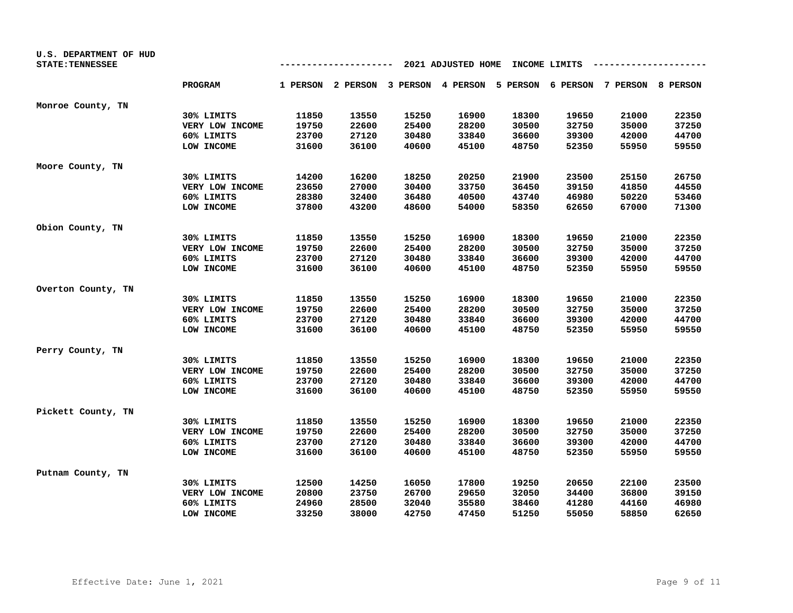| U.S. DEPARTMENT OF HUD<br><b>STATE: TENNESSEE</b> |                 |                | -------        |                                                                         | 2021 ADJUSTED HOME |       | INCOME LIMITS  |       |       |
|---------------------------------------------------|-----------------|----------------|----------------|-------------------------------------------------------------------------|--------------------|-------|----------------|-------|-------|
|                                                   | <b>PROGRAM</b>  |                |                | 1 PERSON 2 PERSON 3 PERSON 4 PERSON 5 PERSON 6 PERSON 7 PERSON 8 PERSON |                    |       |                |       |       |
|                                                   |                 |                |                |                                                                         |                    |       |                |       |       |
| Monroe County, TN                                 |                 |                |                |                                                                         |                    |       |                |       |       |
|                                                   | 30% LIMITS      | 11850          | 13550          | 15250                                                                   | 16900              | 18300 | 19650          | 21000 | 22350 |
|                                                   | VERY LOW INCOME | 19750          | 22600          | 25400                                                                   | 28200              | 30500 | 32750          | 35000 | 37250 |
|                                                   | 60% LIMITS      | 23700<br>31600 | 27120<br>36100 | 30480<br>40600                                                          | 33840<br>45100     | 36600 | 39300<br>52350 | 42000 | 44700 |
|                                                   | LOW INCOME      |                |                |                                                                         |                    | 48750 |                | 55950 | 59550 |
| Moore County, TN                                  |                 |                |                |                                                                         |                    |       |                |       |       |
|                                                   | 30% LIMITS      | 14200          | 16200          | 18250                                                                   | 20250              | 21900 | 23500          | 25150 | 26750 |
|                                                   | VERY LOW INCOME | 23650          | 27000          | 30400                                                                   | 33750              | 36450 | 39150          | 41850 | 44550 |
|                                                   | 60% LIMITS      | 28380          | 32400          | 36480                                                                   | 40500              | 43740 | 46980          | 50220 | 53460 |
|                                                   | LOW INCOME      | 37800          | 43200          | 48600                                                                   | 54000              | 58350 | 62650          | 67000 | 71300 |
| Obion County, TN                                  |                 |                |                |                                                                         |                    |       |                |       |       |
|                                                   | 30% LIMITS      | 11850          | 13550          | 15250                                                                   | 16900              | 18300 | 19650          | 21000 | 22350 |
|                                                   | VERY LOW INCOME | 19750          | 22600          | 25400                                                                   | 28200              | 30500 | 32750          | 35000 | 37250 |
|                                                   | 60% LIMITS      | 23700          | 27120          | 30480                                                                   | 33840              | 36600 | 39300          | 42000 | 44700 |
|                                                   | LOW INCOME      | 31600          | 36100          | 40600                                                                   | 45100              | 48750 | 52350          | 55950 | 59550 |
| Overton County, TN                                |                 |                |                |                                                                         |                    |       |                |       |       |
|                                                   | 30% LIMITS      | 11850          | 13550          | 15250                                                                   | 16900              | 18300 | 19650          | 21000 | 22350 |
|                                                   | VERY LOW INCOME | 19750          | 22600          | 25400                                                                   | 28200              | 30500 | 32750          | 35000 | 37250 |
|                                                   | 60% LIMITS      | 23700          | 27120          | 30480                                                                   | 33840              | 36600 | 39300          | 42000 | 44700 |
|                                                   | LOW INCOME      | 31600          | 36100          | 40600                                                                   | 45100              | 48750 | 52350          | 55950 | 59550 |
| Perry County, TN                                  |                 |                |                |                                                                         |                    |       |                |       |       |
|                                                   | 30% LIMITS      | 11850          | 13550          | 15250                                                                   | 16900              | 18300 | 19650          | 21000 | 22350 |
|                                                   | VERY LOW INCOME | 19750          | 22600          | 25400                                                                   | 28200              | 30500 | 32750          | 35000 | 37250 |
|                                                   | 60% LIMITS      | 23700          | 27120          | 30480                                                                   | 33840              | 36600 | 39300          | 42000 | 44700 |
|                                                   | LOW INCOME      | 31600          | 36100          | 40600                                                                   | 45100              | 48750 | 52350          | 55950 | 59550 |
| Pickett County, TN                                |                 |                |                |                                                                         |                    |       |                |       |       |
|                                                   | 30% LIMITS      | 11850          | 13550          | 15250                                                                   | 16900              | 18300 | 19650          | 21000 | 22350 |
|                                                   | VERY LOW INCOME | 19750          | 22600          | 25400                                                                   | 28200              | 30500 | 32750          | 35000 | 37250 |
|                                                   | 60% LIMITS      | 23700          | 27120          | 30480                                                                   | 33840              | 36600 | 39300          | 42000 | 44700 |
|                                                   | LOW INCOME      | 31600          | 36100          | 40600                                                                   | 45100              | 48750 | 52350          | 55950 | 59550 |
| Putnam County, TN                                 |                 |                |                |                                                                         |                    |       |                |       |       |
|                                                   | 30% LIMITS      | 12500          | 14250          | 16050                                                                   | 17800              | 19250 | 20650          | 22100 | 23500 |
|                                                   | VERY LOW INCOME | 20800          | 23750          | 26700                                                                   | 29650              | 32050 | 34400          | 36800 | 39150 |
|                                                   | 60% LIMITS      | 24960          | 28500          | 32040                                                                   | 35580              | 38460 | 41280          | 44160 | 46980 |
|                                                   | LOW INCOME      | 33250          | 38000          | 42750                                                                   | 47450              | 51250 | 55050          | 58850 | 62650 |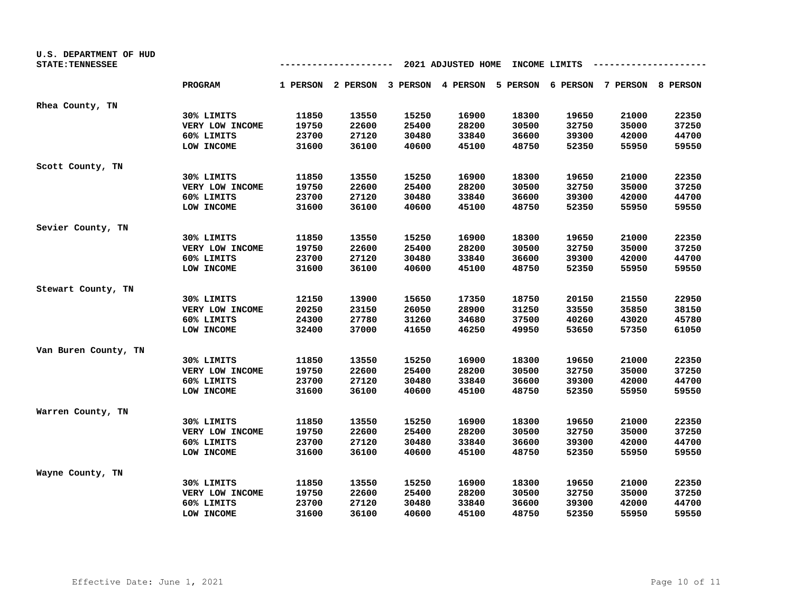| U.S. DEPARTMENT OF HUD<br><b>STATE: TENNESSEE</b> |                 |       | ------- |       | 2021 ADJUSTED HOME |       | INCOME LIMITS |                                                                         |       |
|---------------------------------------------------|-----------------|-------|---------|-------|--------------------|-------|---------------|-------------------------------------------------------------------------|-------|
|                                                   | <b>PROGRAM</b>  |       |         |       |                    |       |               | 1 PERSON 2 PERSON 3 PERSON 4 PERSON 5 PERSON 6 PERSON 7 PERSON 8 PERSON |       |
| Rhea County, TN                                   |                 |       |         |       |                    |       |               |                                                                         |       |
|                                                   | 30% LIMITS      | 11850 | 13550   | 15250 | 16900              | 18300 | 19650         | 21000                                                                   | 22350 |
|                                                   | VERY LOW INCOME | 19750 | 22600   | 25400 | 28200              | 30500 | 32750         | 35000                                                                   | 37250 |
|                                                   | 60% LIMITS      | 23700 | 27120   | 30480 | 33840              | 36600 | 39300         | 42000                                                                   | 44700 |
|                                                   | LOW INCOME      | 31600 | 36100   | 40600 | 45100              | 48750 | 52350         | 55950                                                                   | 59550 |
| Scott County, TN                                  |                 |       |         |       |                    |       |               |                                                                         |       |
|                                                   | 30% LIMITS      | 11850 | 13550   | 15250 | 16900              | 18300 | 19650         | 21000                                                                   | 22350 |
|                                                   | VERY LOW INCOME | 19750 | 22600   | 25400 | 28200              | 30500 | 32750         | 35000                                                                   | 37250 |
|                                                   | 60% LIMITS      | 23700 | 27120   | 30480 | 33840              | 36600 | 39300         | 42000                                                                   | 44700 |
|                                                   | LOW INCOME      | 31600 | 36100   | 40600 | 45100              | 48750 | 52350         | 55950                                                                   | 59550 |
| Sevier County, TN                                 |                 |       |         |       |                    |       |               |                                                                         |       |
|                                                   | 30% LIMITS      | 11850 | 13550   | 15250 | 16900              | 18300 | 19650         | 21000                                                                   | 22350 |
|                                                   | VERY LOW INCOME | 19750 | 22600   | 25400 | 28200              | 30500 | 32750         | 35000                                                                   | 37250 |
|                                                   | 60% LIMITS      | 23700 | 27120   | 30480 | 33840              | 36600 | 39300         | 42000                                                                   | 44700 |
|                                                   | LOW INCOME      | 31600 | 36100   | 40600 | 45100              | 48750 | 52350         | 55950                                                                   | 59550 |
| Stewart County, TN                                |                 |       |         |       |                    |       |               |                                                                         |       |
|                                                   | 30% LIMITS      | 12150 | 13900   | 15650 | 17350              | 18750 | 20150         | 21550                                                                   | 22950 |
|                                                   | VERY LOW INCOME | 20250 | 23150   | 26050 | 28900              | 31250 | 33550         | 35850                                                                   | 38150 |
|                                                   | 60% LIMITS      | 24300 | 27780   | 31260 | 34680              | 37500 | 40260         | 43020                                                                   | 45780 |
|                                                   | LOW INCOME      | 32400 | 37000   | 41650 | 46250              | 49950 | 53650         | 57350                                                                   | 61050 |
| Van Buren County, TN                              |                 |       |         |       |                    |       |               |                                                                         |       |
|                                                   | 30% LIMITS      | 11850 | 13550   | 15250 | 16900              | 18300 | 19650         | 21000                                                                   | 22350 |
|                                                   | VERY LOW INCOME | 19750 | 22600   | 25400 | 28200              | 30500 | 32750         | 35000                                                                   | 37250 |
|                                                   | 60% LIMITS      | 23700 | 27120   | 30480 | 33840              | 36600 | 39300         | 42000                                                                   | 44700 |
|                                                   | LOW INCOME      | 31600 | 36100   | 40600 | 45100              | 48750 | 52350         | 55950                                                                   | 59550 |
| Warren County, TN                                 |                 |       |         |       |                    |       |               |                                                                         |       |
|                                                   | 30% LIMITS      | 11850 | 13550   | 15250 | 16900              | 18300 | 19650         | 21000                                                                   | 22350 |
|                                                   | VERY LOW INCOME | 19750 | 22600   | 25400 | 28200              | 30500 | 32750         | 35000                                                                   | 37250 |
|                                                   | 60% LIMITS      | 23700 | 27120   | 30480 | 33840              | 36600 | 39300         | 42000                                                                   | 44700 |
|                                                   | LOW INCOME      | 31600 | 36100   | 40600 | 45100              | 48750 | 52350         | 55950                                                                   | 59550 |
| Wayne County, TN                                  |                 |       |         |       |                    |       |               |                                                                         |       |
|                                                   | 30% LIMITS      | 11850 | 13550   | 15250 | 16900              | 18300 | 19650         | 21000                                                                   | 22350 |
|                                                   | VERY LOW INCOME | 19750 | 22600   | 25400 | 28200              | 30500 | 32750         | 35000                                                                   | 37250 |
|                                                   | 60% LIMITS      | 23700 | 27120   | 30480 | 33840              | 36600 | 39300         | 42000                                                                   | 44700 |
|                                                   | LOW INCOME      | 31600 | 36100   | 40600 | 45100              | 48750 | 52350         | 55950                                                                   | 59550 |